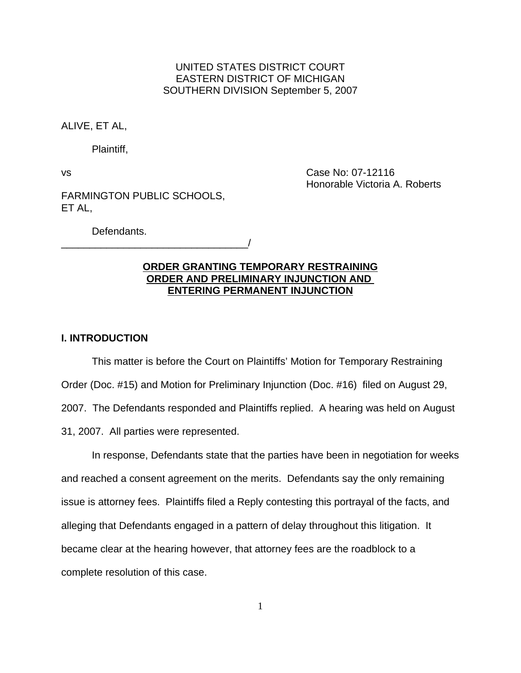## UNITED STATES DISTRICT COURT EASTERN DISTRICT OF MICHIGAN SOUTHERN DIVISION September 5, 2007

ALIVE, ET AL,

Plaintiff,

vs Case No: 07-12116 Honorable Victoria A. Roberts

FARMINGTON PUBLIC SCHOOLS, ET AL,

Defendants.

\_\_\_\_\_\_\_\_\_\_\_\_\_\_\_\_\_\_\_\_\_\_\_\_\_\_\_\_\_\_\_\_\_/

# **ORDER GRANTING TEMPORARY RESTRAINING ORDER AND PRELIMINARY INJUNCTION AND ENTERING PERMANENT INJUNCTION**

## **I. INTRODUCTION**

This matter is before the Court on Plaintiffs' Motion for Temporary Restraining Order (Doc. #15) and Motion for Preliminary Injunction (Doc. #16) filed on August 29, 2007. The Defendants responded and Plaintiffs replied. A hearing was held on August 31, 2007. All parties were represented.

In response, Defendants state that the parties have been in negotiation for weeks and reached a consent agreement on the merits. Defendants say the only remaining issue is attorney fees. Plaintiffs filed a Reply contesting this portrayal of the facts, and alleging that Defendants engaged in a pattern of delay throughout this litigation. It became clear at the hearing however, that attorney fees are the roadblock to a complete resolution of this case.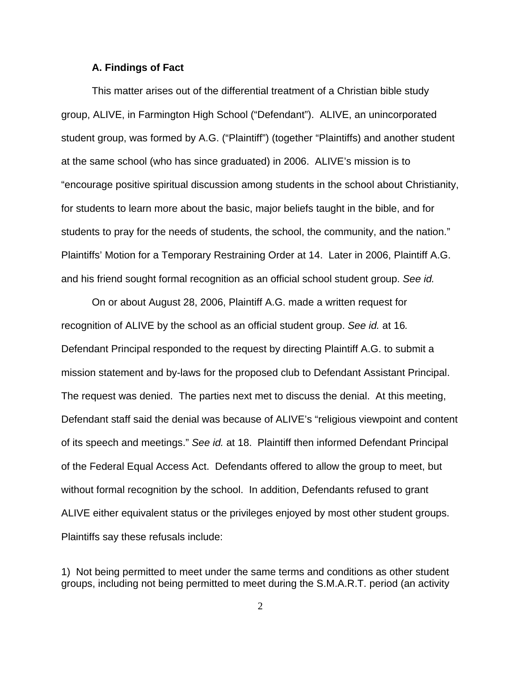#### **A. Findings of Fact**

This matter arises out of the differential treatment of a Christian bible study group, ALIVE, in Farmington High School ("Defendant"). ALIVE, an unincorporated student group, was formed by A.G. ("Plaintiff") (together "Plaintiffs) and another student at the same school (who has since graduated) in 2006. ALIVE's mission is to "encourage positive spiritual discussion among students in the school about Christianity, for students to learn more about the basic, major beliefs taught in the bible, and for students to pray for the needs of students, the school, the community, and the nation." Plaintiffs' Motion for a Temporary Restraining Order at 14. Later in 2006, Plaintiff A.G. and his friend sought formal recognition as an official school student group. *See id.*

On or about August 28, 2006, Plaintiff A.G. made a written request for recognition of ALIVE by the school as an official student group. *See id.* at 16*.*  Defendant Principal responded to the request by directing Plaintiff A.G. to submit a mission statement and by-laws for the proposed club to Defendant Assistant Principal. The request was denied. The parties next met to discuss the denial. At this meeting, Defendant staff said the denial was because of ALIVE's "religious viewpoint and content of its speech and meetings." *See id.* at 18. Plaintiff then informed Defendant Principal of the Federal Equal Access Act. Defendants offered to allow the group to meet, but without formal recognition by the school. In addition, Defendants refused to grant ALIVE either equivalent status or the privileges enjoyed by most other student groups. Plaintiffs say these refusals include:

1) Not being permitted to meet under the same terms and conditions as other student groups, including not being permitted to meet during the S.M.A.R.T. period (an activity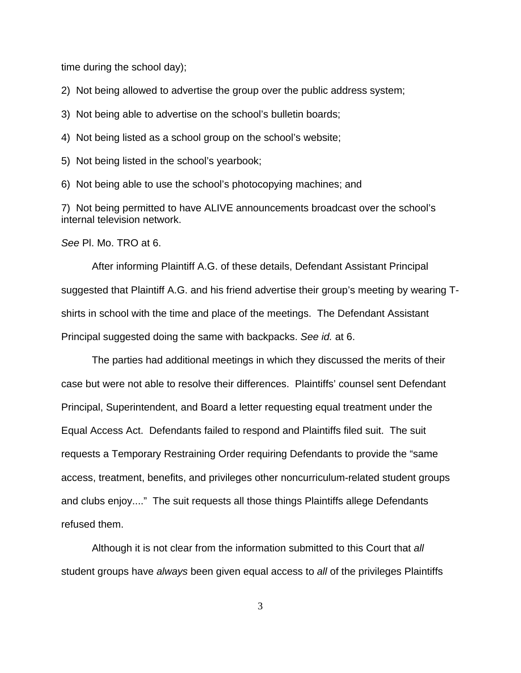time during the school day);

2) Not being allowed to advertise the group over the public address system;

3) Not being able to advertise on the school's bulletin boards;

4) Not being listed as a school group on the school's website;

5) Not being listed in the school's yearbook;

6) Not being able to use the school's photocopying machines; and

7) Not being permitted to have ALIVE announcements broadcast over the school's internal television network.

*See* Pl. Mo. TRO at 6.

After informing Plaintiff A.G. of these details, Defendant Assistant Principal suggested that Plaintiff A.G. and his friend advertise their group's meeting by wearing Tshirts in school with the time and place of the meetings. The Defendant Assistant Principal suggested doing the same with backpacks. *See id.* at 6.

The parties had additional meetings in which they discussed the merits of their case but were not able to resolve their differences. Plaintiffs' counsel sent Defendant Principal, Superintendent, and Board a letter requesting equal treatment under the Equal Access Act. Defendants failed to respond and Plaintiffs filed suit. The suit requests a Temporary Restraining Order requiring Defendants to provide the "same access, treatment, benefits, and privileges other noncurriculum-related student groups and clubs enjoy...." The suit requests all those things Plaintiffs allege Defendants refused them.

Although it is not clear from the information submitted to this Court that *all* student groups have *always* been given equal access to *all* of the privileges Plaintiffs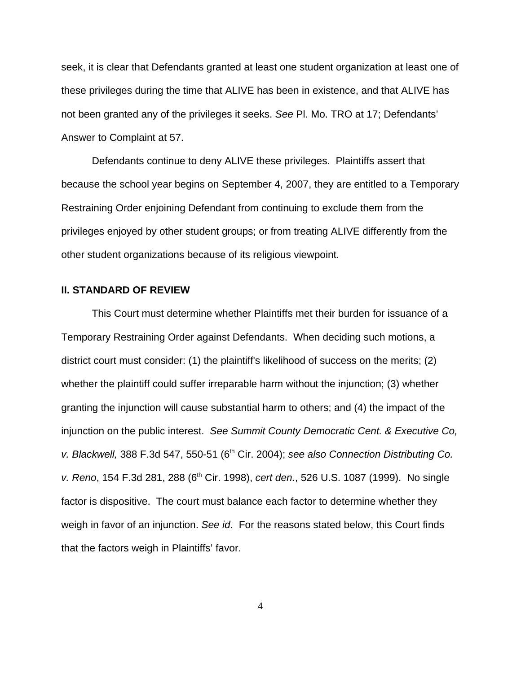seek, it is clear that Defendants granted at least one student organization at least one of these privileges during the time that ALIVE has been in existence, and that ALIVE has not been granted any of the privileges it seeks. *See* Pl. Mo. TRO at 17; Defendants' Answer to Complaint at 57.

Defendants continue to deny ALIVE these privileges. Plaintiffs assert that because the school year begins on September 4, 2007, they are entitled to a Temporary Restraining Order enjoining Defendant from continuing to exclude them from the privileges enjoyed by other student groups; or from treating ALIVE differently from the other student organizations because of its religious viewpoint.

### **II. STANDARD OF REVIEW**

This Court must determine whether Plaintiffs met their burden for issuance of a Temporary Restraining Order against Defendants. When deciding such motions, a district court must consider: (1) the plaintiff's likelihood of success on the merits; (2) whether the plaintiff could suffer irreparable harm without the injunction; (3) whether granting the injunction will cause substantial harm to others; and (4) the impact of the injunction on the public interest. *See Summit County Democratic Cent. & Executive Co, v. Blackwell,* 388 F.3d 547, 550-51 (6th Cir. 2004); *see also Connection Distributing Co. v. Reno*, 154 F.3d 281, 288 (6<sup>th</sup> Cir. 1998), *cert den.*, 526 U.S. 1087 (1999). No single factor is dispositive. The court must balance each factor to determine whether they weigh in favor of an injunction. *See id*. For the reasons stated below, this Court finds that the factors weigh in Plaintiffs' favor.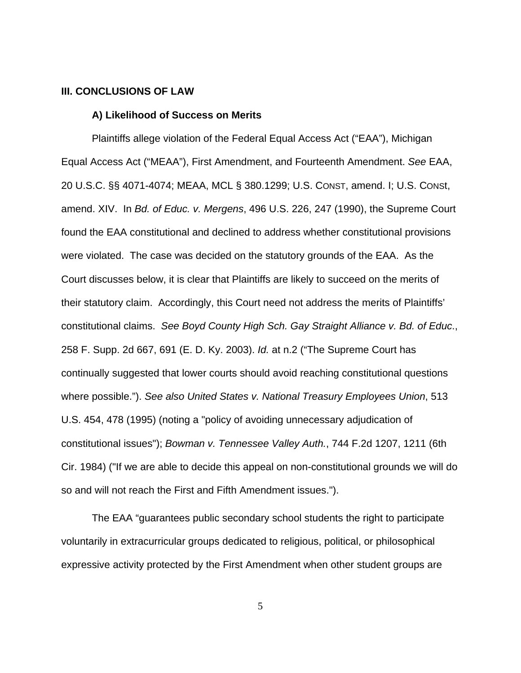#### **III. CONCLUSIONS OF LAW**

#### **A) Likelihood of Success on Merits**

Plaintiffs allege violation of the Federal Equal Access Act ("EAA"), Michigan Equal Access Act ("MEAA"), First Amendment, and Fourteenth Amendment. *See* EAA, 20 U.S.C. §§ 4071-4074; MEAA, MCL § 380.1299; U.S. CONST, amend. I; U.S. CONSt, amend. XIV. In *Bd. of Educ. v. Mergens*, 496 U.S. 226, 247 (1990), the Supreme Court found the EAA constitutional and declined to address whether constitutional provisions were violated. The case was decided on the statutory grounds of the EAA. As the Court discusses below, it is clear that Plaintiffs are likely to succeed on the merits of their statutory claim. Accordingly, this Court need not address the merits of Plaintiffs' constitutional claims. *See Boyd County High Sch. Gay Straight Alliance v. Bd. of Educ*., 258 F. Supp. 2d 667, 691 (E. D. Ky. 2003). *Id.* at n.2 ("The Supreme Court has continually suggested that lower courts should avoid reaching constitutional questions where possible."). *See also United States v. National Treasury Employees Union*, 513 U.S. 454, 478 (1995) (noting a "policy of avoiding unnecessary adjudication of constitutional issues"); *Bowman v. Tennessee Valley Auth.*, 744 F.2d 1207, 1211 (6th Cir. 1984) ("If we are able to decide this appeal on non-constitutional grounds we will do so and will not reach the First and Fifth Amendment issues.").

The EAA "guarantees public secondary school students the right to participate voluntarily in extracurricular groups dedicated to religious, political, or philosophical expressive activity protected by the First Amendment when other student groups are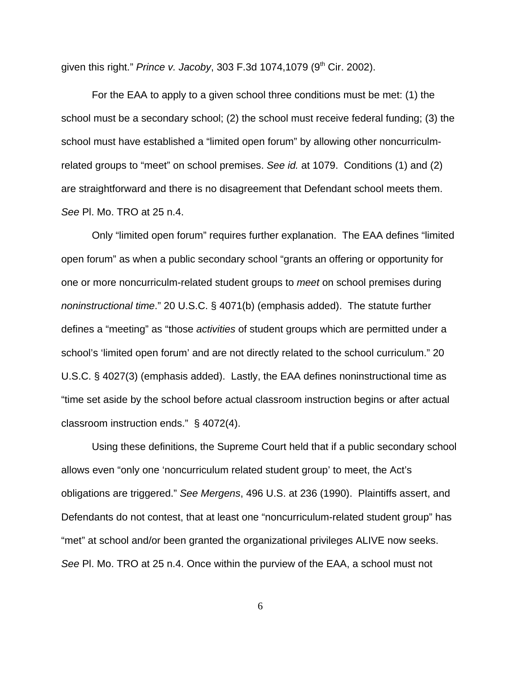given this right." *Prince v. Jacoby*, 303 F.3d 1074,1079 (9th Cir. 2002).

For the EAA to apply to a given school three conditions must be met: (1) the school must be a secondary school; (2) the school must receive federal funding; (3) the school must have established a "limited open forum" by allowing other noncurriculmrelated groups to "meet" on school premises. *See id.* at 1079. Conditions (1) and (2) are straightforward and there is no disagreement that Defendant school meets them. *See* Pl. Mo. TRO at 25 n.4.

Only "limited open forum" requires further explanation. The EAA defines "limited open forum" as when a public secondary school "grants an offering or opportunity for one or more noncurriculm-related student groups to *meet* on school premises during *noninstructional time*." 20 U.S.C. § 4071(b) (emphasis added). The statute further defines a "meeting" as "those *activities* of student groups which are permitted under a school's 'limited open forum' and are not directly related to the school curriculum." 20 U.S.C. § 4027(3) (emphasis added). Lastly, the EAA defines noninstructional time as "time set aside by the school before actual classroom instruction begins or after actual classroom instruction ends." § 4072(4).

Using these definitions, the Supreme Court held that if a public secondary school allows even "only one 'noncurriculum related student group' to meet, the Act's obligations are triggered." *See Mergens*, 496 U.S. at 236 (1990). Plaintiffs assert, and Defendants do not contest, that at least one "noncurriculum-related student group" has "met" at school and/or been granted the organizational privileges ALIVE now seeks. *See* Pl. Mo. TRO at 25 n.4. Once within the purview of the EAA, a school must not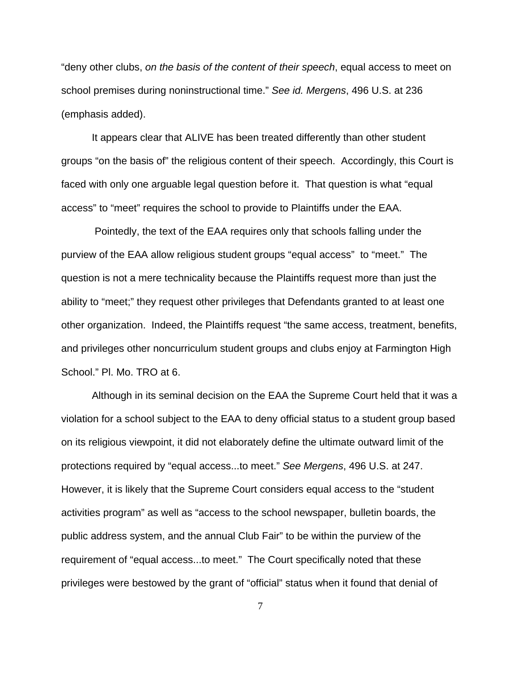"deny other clubs, *on the basis of the content of their speech*, equal access to meet on school premises during noninstructional time." *See id. Mergens*, 496 U.S. at 236 (emphasis added).

It appears clear that ALIVE has been treated differently than other student groups "on the basis of" the religious content of their speech. Accordingly, this Court is faced with only one arguable legal question before it. That question is what "equal access" to "meet" requires the school to provide to Plaintiffs under the EAA.

 Pointedly, the text of the EAA requires only that schools falling under the purview of the EAA allow religious student groups "equal access" to "meet." The question is not a mere technicality because the Plaintiffs request more than just the ability to "meet;" they request other privileges that Defendants granted to at least one other organization. Indeed, the Plaintiffs request "the same access, treatment, benefits, and privileges other noncurriculum student groups and clubs enjoy at Farmington High School." Pl. Mo. TRO at 6.

Although in its seminal decision on the EAA the Supreme Court held that it was a violation for a school subject to the EAA to deny official status to a student group based on its religious viewpoint, it did not elaborately define the ultimate outward limit of the protections required by "equal access...to meet." *See Mergens*, 496 U.S. at 247. However, it is likely that the Supreme Court considers equal access to the "student activities program" as well as "access to the school newspaper, bulletin boards, the public address system, and the annual Club Fair" to be within the purview of the requirement of "equal access...to meet." The Court specifically noted that these privileges were bestowed by the grant of "official" status when it found that denial of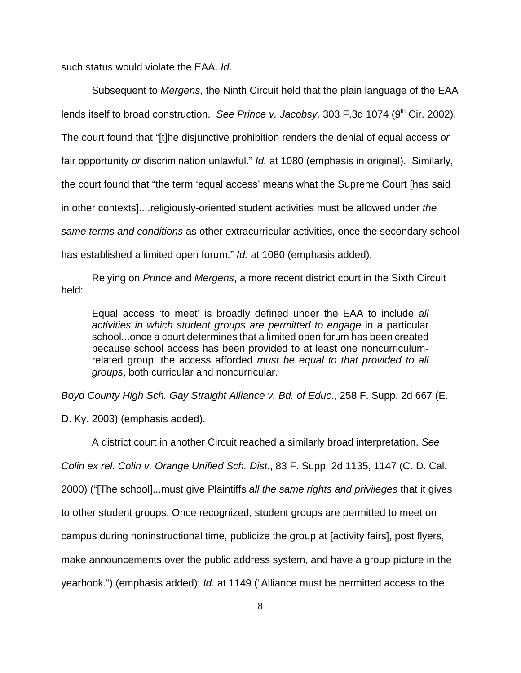such status would violate the EAA. *Id*.

Subsequent to *Mergens*, the Ninth Circuit held that the plain language of the EAA lends itself to broad construction. *See Prince v. Jacobsy*, 303 F.3d 1074 (9<sup>th</sup> Cir. 2002). The court found that "[t]he disjunctive prohibition renders the denial of equal access *or* fair opportunity *or* discrimination unlawful." *Id.* at 1080 (emphasis in original). Similarly, the court found that "the term 'equal access' means what the Supreme Court [has said in other contexts]....religiously-oriented student activities must be allowed under *the same terms and conditions* as other extracurricular activities, once the secondary school has established a limited open forum." *Id.* at 1080 (emphasis added).

Relying on *Prince* and *Mergens*, a more recent district court in the Sixth Circuit held:

Equal access 'to meet' is broadly defined under the EAA to include *all activities in which student groups are permitted to engage* in a particular school...once a court determines that a limited open forum has been created because school access has been provided to at least one noncurriculumrelated group, the access afforded *must be equal to that provided to all groups*, both curricular and noncurricular.

*Boyd County High Sch. Gay Straight Alliance v. Bd. of Educ*., 258 F. Supp. 2d 667 (E.

D. Ky. 2003) (emphasis added).

A district court in another Circuit reached a similarly broad interpretation. *See Colin ex rel. Colin v. Orange Unified Sch. Dist.*, 83 F. Supp. 2d 1135, 1147 (C. D. Cal. 2000) ("[The school]...must give Plaintiffs *all the same rights and privileges* that it gives to other student groups. Once recognized, student groups are permitted to meet on campus during noninstructional time, publicize the group at [activity fairs], post flyers, make announcements over the public address system, and have a group picture in the yearbook.") (emphasis added); *Id.* at 1149 ("Alliance must be permitted access to the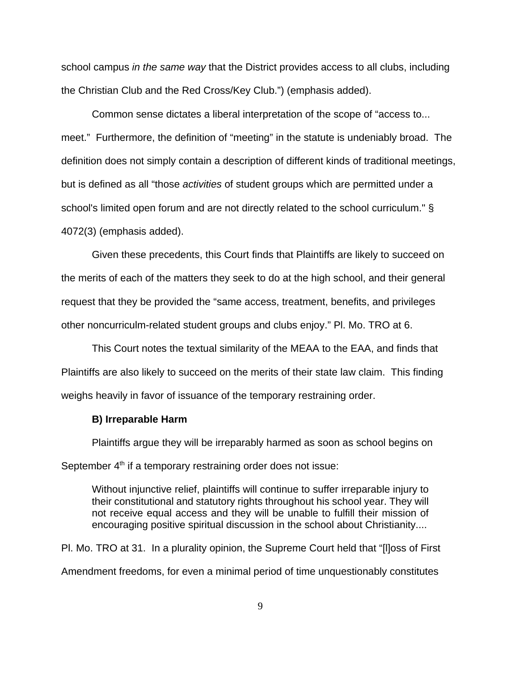school campus *in the same way* that the District provides access to all clubs, including the Christian Club and the Red Cross/Key Club.") (emphasis added).

Common sense dictates a liberal interpretation of the scope of "access to... meet." Furthermore, the definition of "meeting" in the statute is undeniably broad. The definition does not simply contain a description of different kinds of traditional meetings, but is defined as all "those *activities* of student groups which are permitted under a school's limited open forum and are not directly related to the school curriculum." § 4072(3) (emphasis added).

Given these precedents, this Court finds that Plaintiffs are likely to succeed on the merits of each of the matters they seek to do at the high school, and their general request that they be provided the "same access, treatment, benefits, and privileges other noncurriculm-related student groups and clubs enjoy." Pl. Mo. TRO at 6.

This Court notes the textual similarity of the MEAA to the EAA, and finds that Plaintiffs are also likely to succeed on the merits of their state law claim. This finding weighs heavily in favor of issuance of the temporary restraining order.

#### **B) Irreparable Harm**

Plaintiffs argue they will be irreparably harmed as soon as school begins on September  $4<sup>th</sup>$  if a temporary restraining order does not issue:

Without injunctive relief, plaintiffs will continue to suffer irreparable injury to their constitutional and statutory rights throughout his school year. They will not receive equal access and they will be unable to fulfill their mission of encouraging positive spiritual discussion in the school about Christianity....

Pl. Mo. TRO at 31. In a plurality opinion, the Supreme Court held that "[l]oss of First Amendment freedoms, for even a minimal period of time unquestionably constitutes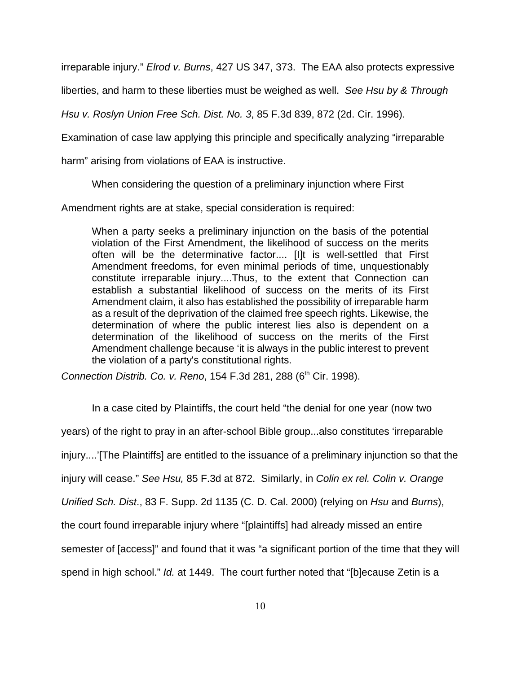irreparable injury." *Elrod v. Burns*, 427 US 347, 373. The EAA also protects expressive

liberties, and harm to these liberties must be weighed as well. *See Hsu by & Through*

*Hsu v. Roslyn Union Free Sch. Dist. No. 3*, 85 F.3d 839, 872 (2d. Cir. 1996).

Examination of case law applying this principle and specifically analyzing "irreparable

harm" arising from violations of EAA is instructive.

When considering the question of a preliminary injunction where First

Amendment rights are at stake, special consideration is required:

When a party seeks a preliminary injunction on the basis of the potential violation of the First Amendment, the likelihood of success on the merits often will be the determinative factor.... [I]t is well-settled that First Amendment freedoms, for even minimal periods of time, unquestionably constitute irreparable injury....Thus, to the extent that Connection can establish a substantial likelihood of success on the merits of its First Amendment claim, it also has established the possibility of irreparable harm as a result of the deprivation of the claimed free speech rights. Likewise, the determination of where the public interest lies also is dependent on a determination of the likelihood of success on the merits of the First Amendment challenge because 'it is always in the public interest to prevent the violation of a party's constitutional rights.

*Connection Distrib. Co. v. Reno, 154 F.3d 281, 288 (6<sup>th</sup> Cir. 1998).* 

In a case cited by Plaintiffs, the court held "the denial for one year (now two years) of the right to pray in an after-school Bible group...also constitutes 'irreparable injury....'[The Plaintiffs] are entitled to the issuance of a preliminary injunction so that the injury will cease." *See Hsu,* 85 F.3d at 872. Similarly, in *Colin ex rel. Colin v. Orange Unified Sch. Dist*., 83 F. Supp. 2d 1135 (C. D. Cal. 2000) (relying on *Hsu* and *Burns*), the court found irreparable injury where "[plaintiffs] had already missed an entire semester of [access]" and found that it was "a significant portion of the time that they will spend in high school." *Id.* at 1449. The court further noted that "[b]ecause Zetin is a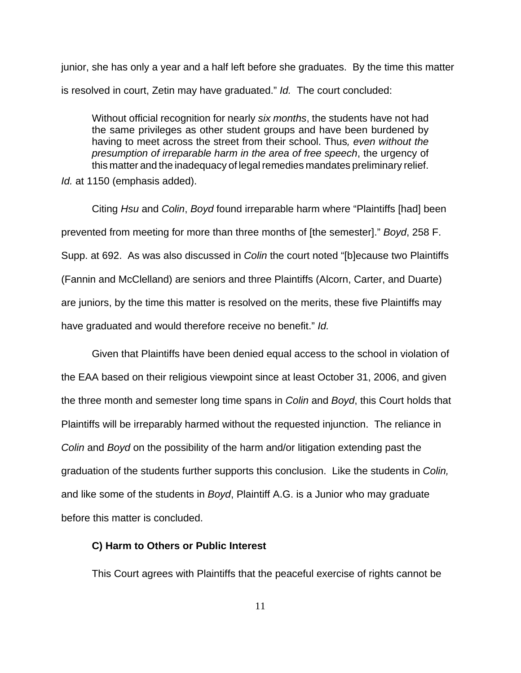junior, she has only a year and a half left before she graduates. By the time this matter is resolved in court, Zetin may have graduated." *Id.* The court concluded:

Without official recognition for nearly *six months*, the students have not had the same privileges as other student groups and have been burdened by having to meet across the street from their school. Thus*, even without the presumption of irreparable harm in the area of free speech*, the urgency of this matter and the inadequacy of legal remedies mandates preliminary relief. *Id.* at 1150 (emphasis added).

Citing *Hsu* and *Colin*, *Boyd* found irreparable harm where "Plaintiffs [had] been prevented from meeting for more than three months of [the semester]." *Boyd*, 258 F. Supp. at 692. As was also discussed in *Colin* the court noted "[b]ecause two Plaintiffs (Fannin and McClelland) are seniors and three Plaintiffs (Alcorn, Carter, and Duarte) are juniors, by the time this matter is resolved on the merits, these five Plaintiffs may have graduated and would therefore receive no benefit." *Id.*

Given that Plaintiffs have been denied equal access to the school in violation of the EAA based on their religious viewpoint since at least October 31, 2006, and given the three month and semester long time spans in *Colin* and *Boyd*, this Court holds that Plaintiffs will be irreparably harmed without the requested injunction. The reliance in *Colin* and *Boyd* on the possibility of the harm and/or litigation extending past the graduation of the students further supports this conclusion. Like the students in *Colin,* and like some of the students in *Boyd*, Plaintiff A.G. is a Junior who may graduate before this matter is concluded.

### **C) Harm to Others or Public Interest**

This Court agrees with Plaintiffs that the peaceful exercise of rights cannot be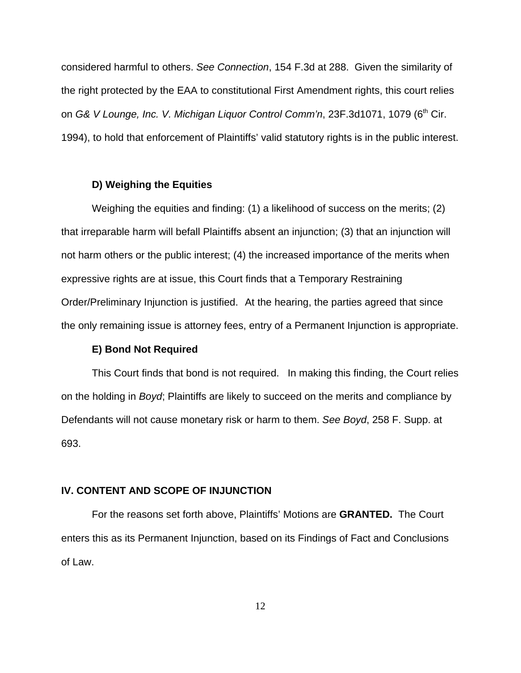considered harmful to others. *See Connection*, 154 F.3d at 288. Given the similarity of the right protected by the EAA to constitutional First Amendment rights, this court relies on G& V Lounge, Inc. V. Michigan Liquor Control Comm'n, 23F.3d1071, 1079 (6<sup>th</sup> Cir. 1994), to hold that enforcement of Plaintiffs' valid statutory rights is in the public interest.

#### **D) Weighing the Equities**

Weighing the equities and finding: (1) a likelihood of success on the merits; (2) that irreparable harm will befall Plaintiffs absent an injunction; (3) that an injunction will not harm others or the public interest; (4) the increased importance of the merits when expressive rights are at issue, this Court finds that a Temporary Restraining Order/Preliminary Injunction is justified. At the hearing, the parties agreed that since the only remaining issue is attorney fees, entry of a Permanent Injunction is appropriate.

#### **E) Bond Not Required**

This Court finds that bond is not required. In making this finding, the Court relies on the holding in *Boyd*; Plaintiffs are likely to succeed on the merits and compliance by Defendants will not cause monetary risk or harm to them. *See Boyd*, 258 F. Supp. at 693.

## **IV. CONTENT AND SCOPE OF INJUNCTION**

For the reasons set forth above, Plaintiffs' Motions are **GRANTED.** The Court enters this as its Permanent Injunction, based on its Findings of Fact and Conclusions of Law.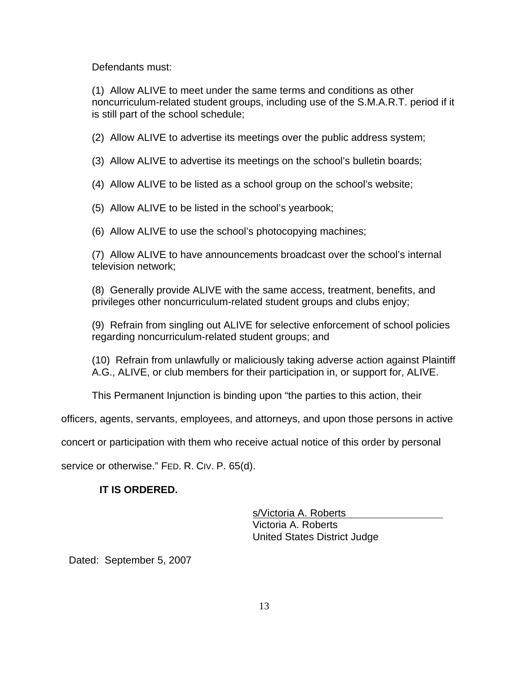Defendants must:

(1) Allow ALIVE to meet under the same terms and conditions as other noncurriculum-related student groups, including use of the S.M.A.R.T. period if it is still part of the school schedule;

(2) Allow ALIVE to advertise its meetings over the public address system;

(3) Allow ALIVE to advertise its meetings on the school's bulletin boards;

(4) Allow ALIVE to be listed as a school group on the school's website;

(5) Allow ALIVE to be listed in the school's yearbook;

(6) Allow ALIVE to use the school's photocopying machines;

(7) Allow ALIVE to have announcements broadcast over the school's internal television network;

(8) Generally provide ALIVE with the same access, treatment, benefits, and privileges other noncurriculum-related student groups and clubs enjoy;

(9) Refrain from singling out ALIVE for selective enforcement of school policies regarding noncurriculum-related student groups; and

(10) Refrain from unlawfully or maliciously taking adverse action against Plaintiff A.G., ALIVE, or club members for their participation in, or support for, ALIVE.

This Permanent Injunction is binding upon "the parties to this action, their

officers, agents, servants, employees, and attorneys, and upon those persons in active

concert or participation with them who receive actual notice of this order by personal

service or otherwise." FED. R. CIV. P. 65(d).

# **IT IS ORDERED.**

s/Victoria A. Roberts Victoria A. Roberts United States District Judge

Dated: September 5, 2007